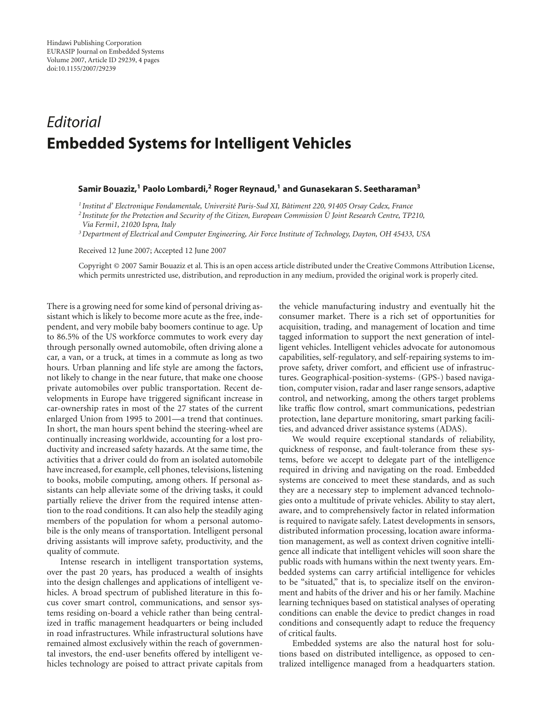# *Editorial* **Embedded Systems for Intelligent Vehicles**

## **Samir Bouaziz,1 Paolo Lombardi,2 Roger Reynaud,1 and Gunasekaran S. Seetharaman3**

*<sup>1</sup> Institut d' Electronique Fondamentale, Universit´e Paris-Sud XI, Batiment 220, 91405 Orsay Cedex, France ˆ <sup>2</sup> Institute for the Protection and Security of the Citizen, European Commission U Joint Research Centre, TP210, ¨*

*Via Fermi1, 21020 Ispra, Italy*

*3Department of Electrical and Computer Engineering, Air Force Institute of Technology, Dayton, OH 45433, USA*

Received 12 June 2007; Accepted 12 June 2007

Copyright © 2007 Samir Bouaziz et al. This is an open access article distributed under the Creative Commons Attribution License, which permits unrestricted use, distribution, and reproduction in any medium, provided the original work is properly cited.

There is a growing need for some kind of personal driving assistant which is likely to become more acute as the free, independent, and very mobile baby boomers continue to age. Up to 86.5% of the US workforce commutes to work every day through personally owned automobile, often driving alone a car, a van, or a truck, at times in a commute as long as two hours. Urban planning and life style are among the factors, not likely to change in the near future, that make one choose private automobiles over public transportation. Recent developments in Europe have triggered significant increase in car-ownership rates in most of the 27 states of the current enlarged Union from 1995 to 2001—a trend that continues. In short, the man hours spent behind the steering-wheel are continually increasing worldwide, accounting for a lost productivity and increased safety hazards. At the same time, the activities that a driver could do from an isolated automobile have increased, for example, cell phones, televisions, listening to books, mobile computing, among others. If personal assistants can help alleviate some of the driving tasks, it could partially relieve the driver from the required intense attention to the road conditions. It can also help the steadily aging members of the population for whom a personal automobile is the only means of transportation. Intelligent personal driving assistants will improve safety, productivity, and the quality of commute.

Intense research in intelligent transportation systems, over the past 20 years, has produced a wealth of insights into the design challenges and applications of intelligent vehicles. A broad spectrum of published literature in this focus cover smart control, communications, and sensor systems residing on-board a vehicle rather than being centralized in traffic management headquarters or being included in road infrastructures. While infrastructural solutions have remained almost exclusively within the reach of governmental investors, the end-user benefits offered by intelligent vehicles technology are poised to attract private capitals from

the vehicle manufacturing industry and eventually hit the consumer market. There is a rich set of opportunities for acquisition, trading, and management of location and time tagged information to support the next generation of intelligent vehicles. Intelligent vehicles advocate for autonomous capabilities, self-regulatory, and self-repairing systems to improve safety, driver comfort, and efficient use of infrastructures. Geographical-position-systems- (GPS-) based navigation, computer vision, radar and laser range sensors, adaptive control, and networking, among the others target problems like traffic flow control, smart communications, pedestrian protection, lane departure monitoring, smart parking facilities, and advanced driver assistance systems (ADAS).

We would require exceptional standards of reliability, quickness of response, and fault-tolerance from these systems, before we accept to delegate part of the intelligence required in driving and navigating on the road. Embedded systems are conceived to meet these standards, and as such they are a necessary step to implement advanced technologies onto a multitude of private vehicles. Ability to stay alert, aware, and to comprehensively factor in related information is required to navigate safely. Latest developments in sensors, distributed information processing, location aware information management, as well as context driven cognitive intelligence all indicate that intelligent vehicles will soon share the public roads with humans within the next twenty years. Embedded systems can carry artificial intelligence for vehicles to be "situated," that is, to specialize itself on the environment and habits of the driver and his or her family. Machine learning techniques based on statistical analyses of operating conditions can enable the device to predict changes in road conditions and consequently adapt to reduce the frequency of critical faults.

Embedded systems are also the natural host for solutions based on distributed intelligence, as opposed to centralized intelligence managed from a headquarters station.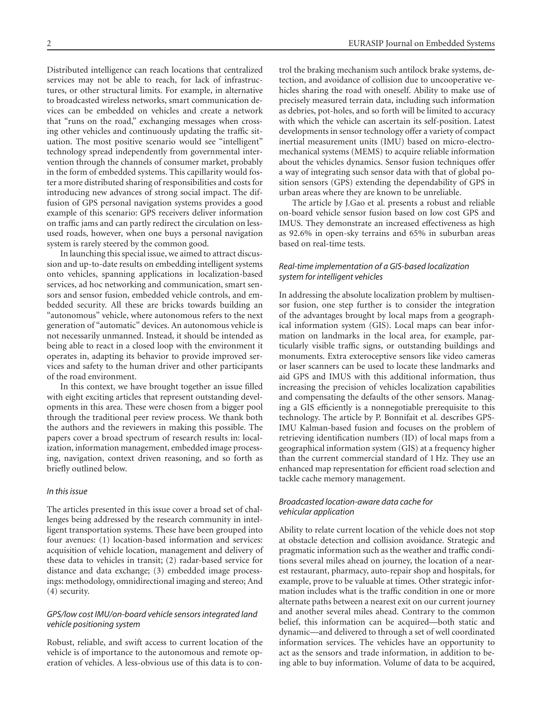Distributed intelligence can reach locations that centralized services may not be able to reach, for lack of infrastructures, or other structural limits. For example, in alternative to broadcasted wireless networks, smart communication devices can be embedded on vehicles and create a network that "runs on the road," exchanging messages when crossing other vehicles and continuously updating the traffic situation. The most positive scenario would see "intelligent" technology spread independently from governmental intervention through the channels of consumer market, probably in the form of embedded systems. This capillarity would foster a more distributed sharing of responsibilities and costs for introducing new advances of strong social impact. The diffusion of GPS personal navigation systems provides a good example of this scenario: GPS receivers deliver information on traffic jams and can partly redirect the circulation on lessused roads, however, when one buys a personal navigation system is rarely steered by the common good.

In launching this special issue, we aimed to attract discussion and up-to-date results on embedding intelligent systems onto vehicles, spanning applications in localization-based services, ad hoc networking and communication, smart sensors and sensor fusion, embedded vehicle controls, and embedded security. All these are bricks towards building an "autonomous" vehicle, where autonomous refers to the next generation of "automatic" devices. An autonomous vehicle is not necessarily unmanned. Instead, it should be intended as being able to react in a closed loop with the environment it operates in, adapting its behavior to provide improved services and safety to the human driver and other participants of the road environment.

In this context, we have brought together an issue filled with eight exciting articles that represent outstanding developments in this area. These were chosen from a bigger pool through the traditional peer review process. We thank both the authors and the reviewers in making this possible. The papers cover a broad spectrum of research results in: localization, information management, embedded image processing, navigation, context driven reasoning, and so forth as briefly outlined below.

## *In this issue*

The articles presented in this issue cover a broad set of challenges being addressed by the research community in intelligent transportation systems. These have been grouped into four avenues: (1) location-based information and services: acquisition of vehicle location, management and delivery of these data to vehicles in transit; (2) radar-based service for distance and data exchange; (3) embedded image processings: methodology, omnidirectional imaging and stereo; And (4) security.

### *GPS/low cost IMU/on-board vehicle sensors integrated land vehicle positioning system*

Robust, reliable, and swift access to current location of the vehicle is of importance to the autonomous and remote operation of vehicles. A less-obvious use of this data is to control the braking mechanism such antilock brake systems, detection, and avoidance of collision due to uncooperative vehicles sharing the road with oneself. Ability to make use of precisely measured terrain data, including such information as debries, pot-holes, and so forth will be limited to accuracy with which the vehicle can ascertain its self-position. Latest developments in sensor technology offer a variety of compact inertial measurement units (IMU) based on micro-electromechanical systems (MEMS) to acquire reliable information about the vehicles dynamics. Sensor fusion techniques offer a way of integrating such sensor data with that of global position sensors (GPS) extending the dependability of GPS in urban areas where they are known to be unreliable.

The article by J.Gao et al. presents a robust and reliable on-board vehicle sensor fusion based on low cost GPS and IMUS. They demonstrate an increased effectiveness as high as 92.6% in open-sky terrains and 65% in suburban areas based on real-time tests.

## *Real-time implementation of a GIS-based localization system for intelligent vehicles*

In addressing the absolute localization problem by multisensor fusion, one step further is to consider the integration of the advantages brought by local maps from a geographical information system (GIS). Local maps can bear information on landmarks in the local area, for example, particularly visible traffic signs, or outstanding buildings and monuments. Extra exteroceptive sensors like video cameras or laser scanners can be used to locate these landmarks and aid GPS and IMUS with this additional information, thus increasing the precision of vehicles localization capabilities and compensating the defaults of the other sensors. Managing a GIS efficiently is a nonnegotiable prerequisite to this technology. The article by P. Bonnifait et al. describes GPS-IMU Kalman-based fusion and focuses on the problem of retrieving identification numbers (ID) of local maps from a geographical information system (GIS) at a frequency higher than the current commercial standard of 1 Hz. They use an enhanced map representation for efficient road selection and tackle cache memory management.

## *Broadcasted location-aware data cache for vehicular application*

Ability to relate current location of the vehicle does not stop at obstacle detection and collision avoidance. Strategic and pragmatic information such as the weather and traffic conditions several miles ahead on journey, the location of a nearest restaurant, pharmacy, auto-repair shop and hospitals, for example, prove to be valuable at times. Other strategic information includes what is the traffic condition in one or more alternate paths between a nearest exit on our current journey and another several miles ahead. Contrary to the common belief, this information can be acquired—both static and dynamic—and delivered to through a set of well coordinated information services. The vehicles have an opportunity to act as the sensors and trade information, in addition to being able to buy information. Volume of data to be acquired,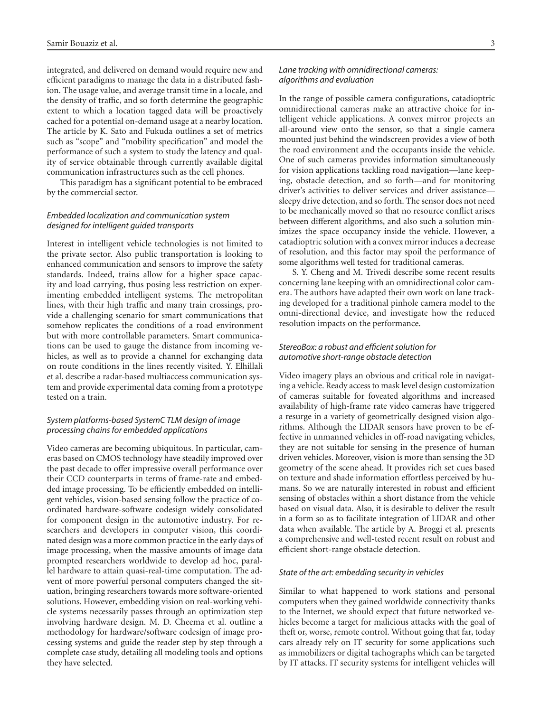integrated, and delivered on demand would require new and efficient paradigms to manage the data in a distributed fashion. The usage value, and average transit time in a locale, and the density of traffic, and so forth determine the geographic extent to which a location tagged data will be proactively cached for a potential on-demand usage at a nearby location. The article by K. Sato and Fukuda outlines a set of metrics such as "scope" and "mobility specification" and model the performance of such a system to study the latency and quality of service obtainable through currently available digital communication infrastructures such as the cell phones.

This paradigm has a significant potential to be embraced by the commercial sector.

#### *Embedded localization and communication system designed for intelligent guided transports*

Interest in intelligent vehicle technologies is not limited to the private sector. Also public transportation is looking to enhanced communication and sensors to improve the safety standards. Indeed, trains allow for a higher space capacity and load carrying, thus posing less restriction on experimenting embedded intelligent systems. The metropolitan lines, with their high traffic and many train crossings, provide a challenging scenario for smart communications that somehow replicates the conditions of a road environment but with more controllable parameters. Smart communications can be used to gauge the distance from incoming vehicles, as well as to provide a channel for exchanging data on route conditions in the lines recently visited. Y. Elhillali et al. describe a radar-based multiaccess communication system and provide experimental data coming from a prototype tested on a train.

#### *System platforms-based SystemC TLM design of image processing chains for embedded applications*

Video cameras are becoming ubiquitous. In particular, cameras based on CMOS technology have steadily improved over the past decade to offer impressive overall performance over their CCD counterparts in terms of frame-rate and embedded image processing. To be efficiently embedded on intelligent vehicles, vision-based sensing follow the practice of coordinated hardware-software codesign widely consolidated for component design in the automotive industry. For researchers and developers in computer vision, this coordinated design was a more common practice in the early days of image processing, when the massive amounts of image data prompted researchers worldwide to develop ad hoc, parallel hardware to attain quasi-real-time computation. The advent of more powerful personal computers changed the situation, bringing researchers towards more software-oriented solutions. However, embedding vision on real-working vehicle systems necessarily passes through an optimization step involving hardware design. M. D. Cheema et al. outline a methodology for hardware/software codesign of image processing systems and guide the reader step by step through a complete case study, detailing all modeling tools and options they have selected.

#### *Lane tracking with omnidirectional cameras: algorithms and evaluation*

In the range of possible camera configurations, catadioptric omnidirectional cameras make an attractive choice for intelligent vehicle applications. A convex mirror projects an all-around view onto the sensor, so that a single camera mounted just behind the windscreen provides a view of both the road environment and the occupants inside the vehicle. One of such cameras provides information simultaneously for vision applications tackling road navigation—lane keeping, obstacle detection, and so forth—and for monitoring driver's activities to deliver services and driver assistance sleepy drive detection, and so forth. The sensor does not need to be mechanically moved so that no resource conflict arises between different algorithms, and also such a solution minimizes the space occupancy inside the vehicle. However, a catadioptric solution with a convex mirror induces a decrease of resolution, and this factor may spoil the performance of some algorithms well tested for traditional cameras.

S. Y. Cheng and M. Trivedi describe some recent results concerning lane keeping with an omnidirectional color camera. The authors have adapted their own work on lane tracking developed for a traditional pinhole camera model to the omni-directional device, and investigate how the reduced resolution impacts on the performance.

## *StereoBox: a robust and efficient solution for automotive short-range obstacle detection*

Video imagery plays an obvious and critical role in navigating a vehicle. Ready access to mask level design customization of cameras suitable for foveated algorithms and increased availability of high-frame rate video cameras have triggered a resurge in a variety of geometrically designed vision algorithms. Although the LIDAR sensors have proven to be effective in unmanned vehicles in off-road navigating vehicles, they are not suitable for sensing in the presence of human driven vehicles. Moreover, vision is more than sensing the 3D geometry of the scene ahead. It provides rich set cues based on texture and shade information effortless perceived by humans. So we are naturally interested in robust and efficient sensing of obstacles within a short distance from the vehicle based on visual data. Also, it is desirable to deliver the result in a form so as to facilitate integration of LIDAR and other data when available. The article by A. Broggi et al. presents a comprehensive and well-tested recent result on robust and efficient short-range obstacle detection.

#### *State of the art: embedding security in vehicles*

Similar to what happened to work stations and personal computers when they gained worldwide connectivity thanks to the Internet, we should expect that future networked vehicles become a target for malicious attacks with the goal of theft or, worse, remote control. Without going that far, today cars already rely on IT security for some applications such as immobilizers or digital tachographs which can be targeted by IT attacks. IT security systems for intelligent vehicles will